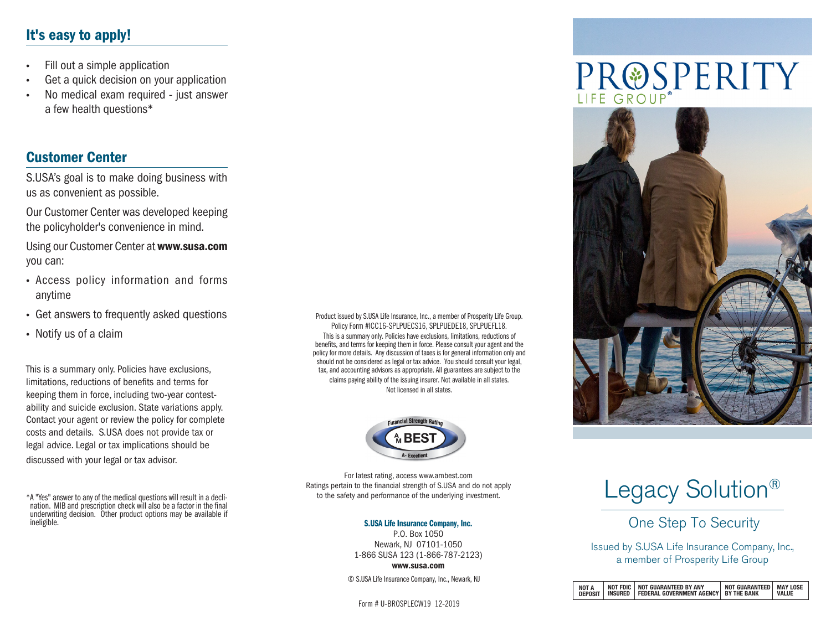# It's easy to apply!

- Fill out a simple application
- Get a quick decision on your application
- No medical exam required just answer a few health questions\*

### Customer Center

S.USA's goal is to make doing business with us as convenient as possible.

Our Customer Center was developed keeping the policyholder's convenience in mind.

Using our Customer Center at www.susa.com you can:

- Access policy information and forms anytime
- Get answers to frequently asked questions
- Notify us of a claim

This is a summary only. Policies have exclusions, limitations, reductions of benefits and terms for keeping them in force, including two-year contestability and suicide exclusion. State variations apply. Contact your agent or review the policy for complete costs and details. S.USA does not provide tax or legal advice. Legal or tax implications should be discussed with your legal or tax advisor.

Product issued by S.USA Life Insurance, Inc., a member of Prosperity Life Group. Policy Form #ICC16-SPLPUECS16, SPLPUEDE18, SPLPUEFL18. This is a summary only. Policies have exclusions, limitations, reductions of benefits, and terms for keeping them in force. Please consult your agent and the policy for more details. Any discussion of taxes is for general information only and should not be considered as legal or tax advice. You should consult your legal, tax, and accounting advisors as appropriate. All guarantees are subject to the claims paying ability of the issuing insurer. Not available in all states. Not licensed in all states.



For latest rating, access www.ambest.com Ratings pertain to the financial strength of S.USA and do not apply to the safety and performance of the underlying investment.

#### S.USA Life Insurance Company, Inc.

P.O. Box 1050 Newark, NJ 07101-1050 1-866 SUSA 123 (1-866-787-2123) www.susa.com

© S.USA Life Insurance Company, Inc., Newark, NJ

Form # U-BROSPLECW19 12-2019

# PROSPERITY



# Legacy Solution<sup>®</sup>

One Step To Security

Issued by S.USA Life Insurance Company, Inc., a member of Prosperity Life Group

| <b>NOT A</b><br><b>DEPOSIT</b> |  | NOT FDIC   NOT GUARANTEED BY ANY<br>INSURED   FEDERAL GOVERNMENT AGENCY   BY THE BANK | NOT GUARANTEED   MAY LOSE | VALUE |
|--------------------------------|--|---------------------------------------------------------------------------------------|---------------------------|-------|
|--------------------------------|--|---------------------------------------------------------------------------------------|---------------------------|-------|

<sup>\*</sup>A "Yes" answer to any of the medical questions will result in a decli- nation. MIB and prescription check will also be a factor in the final underwriting decision. Other product options may be available if ineligible.